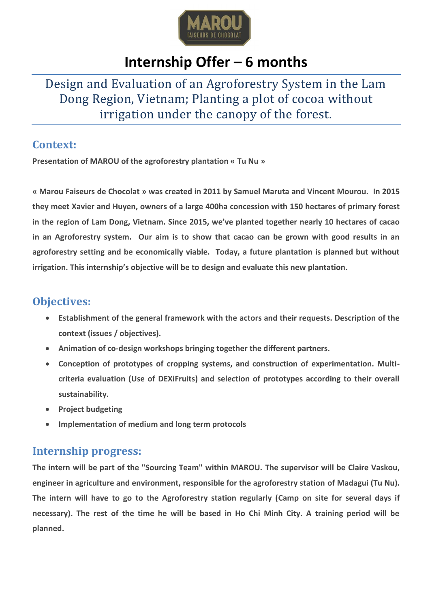

# **Internship Offer – 6 months**

## Design and Evaluation of an Agroforestry System in the Lam Dong Region, Vietnam; Planting a plot of cocoa without irrigation under the canopy of the forest.

#### **Context:**

**Presentation of MAROU of the agroforestry plantation « Tu Nu »**

**« Marou Faiseurs de Chocolat » was created in 2011 by Samuel Maruta and Vincent Mourou. In 2015 they meet Xavier and Huyen, owners of a large 400ha concession with 150 hectares of primary forest in the region of Lam Dong, Vietnam. Since 2015, we've planted together nearly 10 hectares of cacao in an Agroforestry system. Our aim is to show that cacao can be grown with good results in an agroforestry setting and be economically viable. Today, a future plantation is planned but without irrigation. This internship's objective will be to design and evaluate this new plantation.**

### **Objectives:**

- **Establishment of the general framework with the actors and their requests. Description of the context (issues / objectives).**
- **Animation of co-design workshops bringing together the different partners.**
- **Conception of prototypes of cropping systems, and construction of experimentation. Multicriteria evaluation (Use of DEXiFruits) and selection of prototypes according to their overall sustainability.**
- **•** Project budgeting
- **Implementation of medium and long term protocols**

#### **Internship progress:**

**The intern will be part of the "Sourcing Team" within MAROU. The supervisor will be Claire Vaskou, engineer in agriculture and environment, responsible for the agroforestry station of Madagui (Tu Nu). The intern will have to go to the Agroforestry station regularly (Camp on site for several days if necessary). The rest of the time he will be based in Ho Chi Minh City. A training period will be planned.**